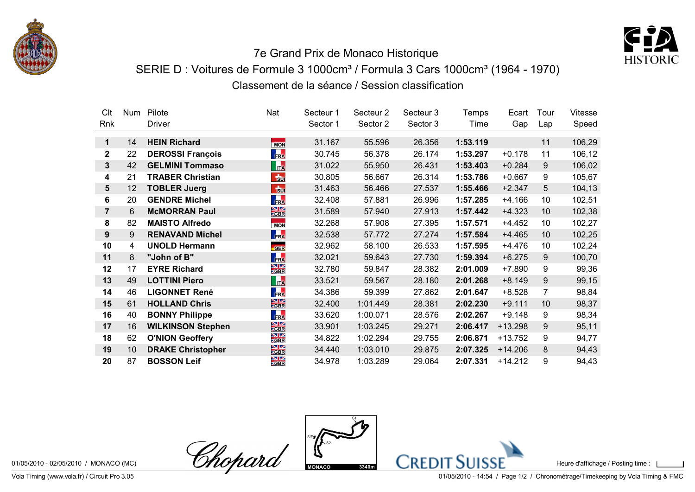



## 7e Grand Prix de Monaco Historique SERIE D : Voitures de Formule 3 1000cm<sup>3</sup> / Formula 3 Cars 1000cm<sup>3</sup> (1964 - 1970) Classement de la séance / Session classification

| Clt            | <b>Num</b> | Pilote                   | Nat                                    | Secteur 1 | Secteur <sub>2</sub> | Secteur 3 | Temps    | Ecart     | Tour | <b>Vitesse</b> |
|----------------|------------|--------------------------|----------------------------------------|-----------|----------------------|-----------|----------|-----------|------|----------------|
| Rnk            |            | Driver                   |                                        | Sector 1  | Sector 2             | Sector 3  | Time     | Gap       | Lap  | Speed          |
|                |            |                          |                                        |           |                      |           |          |           |      |                |
| 1              | 14         | <b>HEIN Richard</b>      | <b>MON</b>                             | 31.167    | 55.596               | 26.356    | 1:53.119 |           | 11   | 106,29         |
| $\mathbf{2}$   | 22         | <b>DEROSSI François</b>  | FRA                                    | 30.745    | 56.378               | 26.174    | 1:53.297 | $+0.178$  | 11   | 106,12         |
| 3              | 42         | <b>GELMINI Tommaso</b>   | $\mathbf{r}$                           | 31.022    | 55.950               | 26.431    | 1:53.403 | $+0.284$  | 9    | 106,02         |
| 4              | 21         | <b>TRABER Christian</b>  | b                                      | 30.805    | 56.667               | 26.314    | 1:53.786 | $+0.667$  | 9    | 105,67         |
| 5              | 12         | <b>TOBLER Juerg</b>      | $F_{\rm BH}$                           | 31.463    | 56.466               | 27.537    | 1:55.466 | $+2.347$  | 5    | 104,13         |
| 6              | 20         | <b>GENDRE Michel</b>     | FRA                                    | 32.408    | 57.881               | 26.996    | 1:57.285 | $+4.166$  | 10   | 102,51         |
| $\overline{7}$ | 6          | <b>McMORRAN Paul</b>     | $\frac{N}{GBR}$                        | 31.589    | 57.940               | 27.913    | 1:57.442 | $+4.323$  | 10   | 102,38         |
| 8              | 82         | <b>MAISTO Alfredo</b>    | <b>MON</b>                             | 32.268    | 57.908               | 27.395    | 1:57.571 | $+4.452$  | 10   | 102,27         |
| 9              | 9          | <b>RENAVAND Michel</b>   | FRA                                    | 32.538    | 57.772               | 27.274    | 1:57.584 | $+4.465$  | 10   | 102,25         |
| 10             | 4          | <b>UNOLD Hermann</b>     | <b>GER</b>                             | 32.962    | 58.100               | 26.533    | 1:57.595 | $+4.476$  | 10   | 102,24         |
| 11             | 8          | "John of B"              | FRA                                    | 32.021    | 59.643               | 27.730    | 1:59.394 | $+6.275$  | 9    | 100,70         |
| 12             | 17         | <b>EYRE Richard</b>      | $\frac{N}{Z}$                          | 32.780    | 59.847               | 28.382    | 2:01.009 | $+7.890$  | 9    | 99,36          |
| 13             | 49         | <b>LOTTINI Piero</b>     | $\mathbf{h}$                           | 33.521    | 59.567               | 28.180    | 2:01.268 | $+8.149$  | 9    | 99,15          |
| 14             | 46         | <b>LIGONNET René</b>     | FRA                                    | 34.386    | 59.399               | 27.862    | 2:01.647 | $+8.528$  | 7    | 98,84          |
| 15             | 61         | <b>HOLLAND Chris</b>     | $\frac{N}{GBR}$                        | 32.400    | 1:01.449             | 28.381    | 2:02.230 | $+9.111$  | 10   | 98,37          |
| 16             | 40         | <b>BONNY Philippe</b>    | FRA                                    | 33.620    | 1:00.071             | 28.576    | 2:02.267 | $+9.148$  | 9    | 98,34          |
| 17             | 16         | <b>WILKINSON Stephen</b> | $\frac{N}{GBR}$                        | 33.901    | 1:03.245             | 29.271    | 2:06.417 | $+13.298$ | 9    | 95,11          |
| 18             | 62         | <b>O'NION Geoffery</b>   | NZ<br><b>ZGBR</b>                      | 34.822    | 1:02.294             | 29.755    | 2:06.871 | $+13.752$ | 9    | 94,77          |
| 19             | 10         | <b>DRAKE Christopher</b> | $\frac{N}{GBR}$                        | 34.440    | 1:03.010             | 29.875    | 2:07.325 | $+14.206$ | 8    | 94,43          |
| 20             | 87         | <b>BOSSON Leif</b>       | $\frac{\text{N}}{\text{Z} \text{GBR}}$ | 34.978    | 1:03.289             | 29.064    | 2:07.331 | $+14.212$ | 9    | 94,43          |



Vola Timing (www.vola.fr) / Circuit Pro 3.05 **Distribution Control** Controller Motor Controller and American Control Controller American Controller American Controller American Controller American Controller American Contr